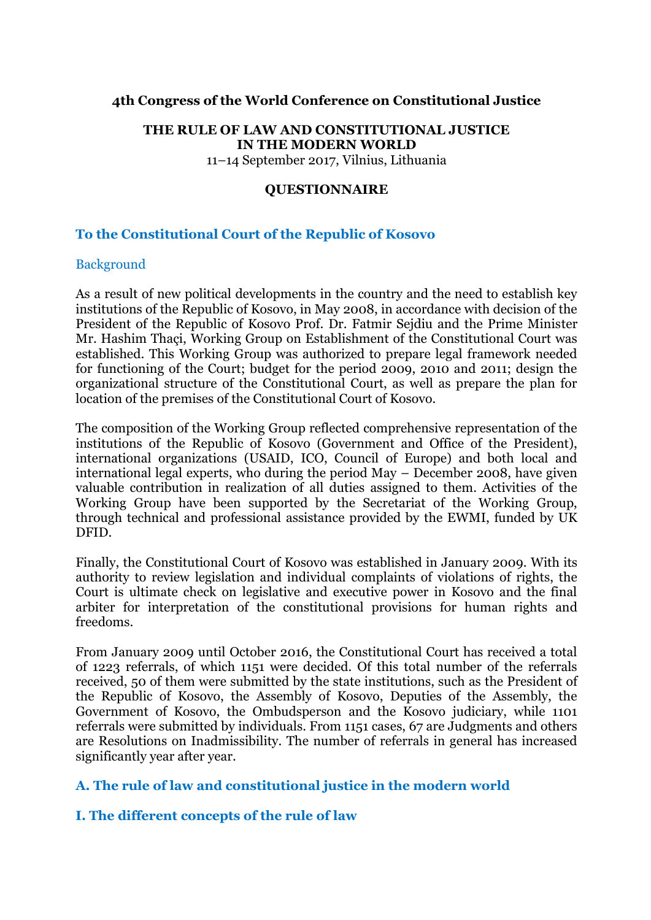# **4th Congress of the World Conference on Constitutional Justice**

#### **THE RULE OF LAW AND CONSTITUTIONAL JUSTICE IN THE MODERN WORLD** 11–14 September 2017, Vilnius, Lithuania

## **QUESTIONNAIRE**

# **To the Constitutional Court of the Republic of Kosovo**

#### **Background**

As a result of new political developments in the country and the need to establish key institutions of the Republic of Kosovo, in May 2008, in accordance with decision of the President of the Republic of Kosovo Prof. Dr. Fatmir Sejdiu and the Prime Minister Mr. Hashim Thaçi, Working Group on Establishment of the Constitutional Court was established. This Working Group was authorized to prepare legal framework needed for functioning of the Court; budget for the period 2009, 2010 and 2011; design the organizational structure of the Constitutional Court, as well as prepare the plan for location of the premises of the Constitutional Court of Kosovo.

The composition of the Working Group reflected comprehensive representation of the institutions of the Republic of Kosovo (Government and Office of the President), international organizations (USAID, ICO, Council of Europe) and both local and international legal experts, who during the period May – December 2008, have given valuable contribution in realization of all duties assigned to them. Activities of the Working Group have been supported by the Secretariat of the Working Group, through technical and professional assistance provided by the EWMI, funded by UK DFID.

Finally, the Constitutional Court of Kosovo was established in January 2009. With its authority to review legislation and individual complaints of violations of rights, the Court is ultimate check on legislative and executive power in Kosovo and the final arbiter for interpretation of the constitutional provisions for human rights and freedoms.

From January 2009 until October 2016, the Constitutional Court has received a total of 1223 referrals, of which 1151 were decided. Of this total number of the referrals received, 50 of them were submitted by the state institutions, such as the President of the Republic of Kosovo, the Assembly of Kosovo, Deputies of the Assembly, the Government of Kosovo, the Ombudsperson and the Kosovo judiciary, while 1101 referrals were submitted by individuals. From 1151 cases, 67 are Judgments and others are Resolutions on Inadmissibility. The number of referrals in general has increased significantly year after year.

## **A. The rule of law and constitutional justice in the modern world**

## **I. The different concepts of the rule of law**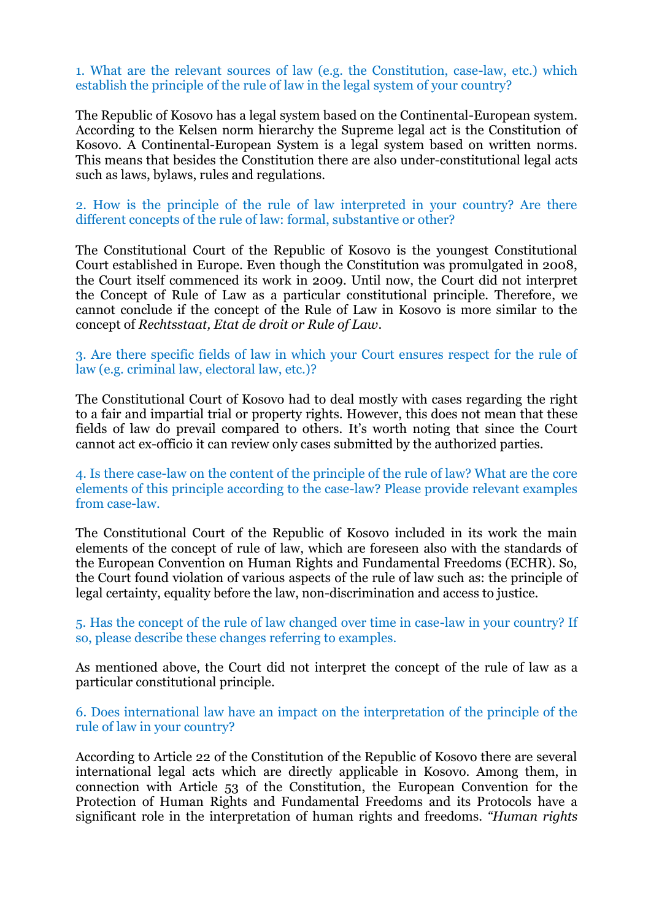1. What are the relevant sources of law (e.g. the Constitution, case-law, etc.) which establish the principle of the rule of law in the legal system of your country?

The Republic of Kosovo has a legal system based on the Continental-European system. According to the Kelsen norm hierarchy the Supreme legal act is the Constitution of Kosovo. A Continental-European System is a legal system based on written norms. This means that besides the Constitution there are also under-constitutional legal acts such as laws, bylaws, rules and regulations.

2. How is the principle of the rule of law interpreted in your country? Are there different concepts of the rule of law: formal, substantive or other?

The Constitutional Court of the Republic of Kosovo is the youngest Constitutional Court established in Europe. Even though the Constitution was promulgated in 2008, the Court itself commenced its work in 2009. Until now, the Court did not interpret the Concept of Rule of Law as a particular constitutional principle. Therefore, we cannot conclude if the concept of the Rule of Law in Kosovo is more similar to the concept of *Rechtsstaat, Etat de droit or Rule of Law*.

## 3. Are there specific fields of law in which your Court ensures respect for the rule of law (e.g. criminal law, electoral law, etc.)?

The Constitutional Court of Kosovo had to deal mostly with cases regarding the right to a fair and impartial trial or property rights. However, this does not mean that these fields of law do prevail compared to others. It's worth noting that since the Court cannot act ex-officio it can review only cases submitted by the authorized parties.

4. Is there case-law on the content of the principle of the rule of law? What are the core elements of this principle according to the case-law? Please provide relevant examples from case-law.

The Constitutional Court of the Republic of Kosovo included in its work the main elements of the concept of rule of law, which are foreseen also with the standards of the European Convention on Human Rights and Fundamental Freedoms (ECHR). So, the Court found violation of various aspects of the rule of law such as: the principle of legal certainty, equality before the law, non-discrimination and access to justice.

5. Has the concept of the rule of law changed over time in case-law in your country? If so, please describe these changes referring to examples.

As mentioned above, the Court did not interpret the concept of the rule of law as a particular constitutional principle.

6. Does international law have an impact on the interpretation of the principle of the rule of law in your country?

According to Article 22 of the Constitution of the Republic of Kosovo there are several international legal acts which are directly applicable in Kosovo. Among them, in connection with Article 53 of the Constitution, the European Convention for the Protection of Human Rights and Fundamental Freedoms and its Protocols have a significant role in the interpretation of human rights and freedoms. *"Human rights*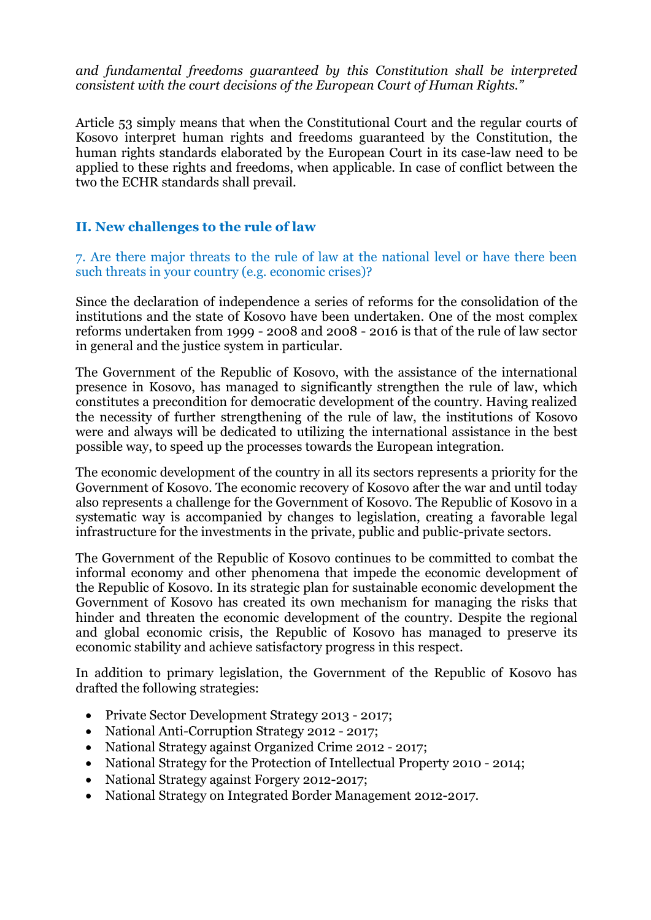*and fundamental freedoms guaranteed by this Constitution shall be interpreted consistent with the court decisions of the European Court of Human Rights."*

Article 53 simply means that when the Constitutional Court and the regular courts of Kosovo interpret human rights and freedoms guaranteed by the Constitution, the human rights standards elaborated by the European Court in its case-law need to be applied to these rights and freedoms, when applicable. In case of conflict between the two the ECHR standards shall prevail.

# **II. New challenges to the rule of law**

7. Are there major threats to the rule of law at the national level or have there been such threats in your country (e.g. economic crises)?

Since the declaration of independence a series of reforms for the consolidation of the institutions and the state of Kosovo have been undertaken. One of the most complex reforms undertaken from 1999 - 2008 and 2008 - 2016 is that of the rule of law sector in general and the justice system in particular.

The Government of the Republic of Kosovo, with the assistance of the international presence in Kosovo, has managed to significantly strengthen the rule of law, which constitutes a precondition for democratic development of the country. Having realized the necessity of further strengthening of the rule of law, the institutions of Kosovo were and always will be dedicated to utilizing the international assistance in the best possible way, to speed up the processes towards the European integration.

The economic development of the country in all its sectors represents a priority for the Government of Kosovo. The economic recovery of Kosovo after the war and until today also represents a challenge for the Government of Kosovo. The Republic of Kosovo in a systematic way is accompanied by changes to legislation, creating a favorable legal infrastructure for the investments in the private, public and public-private sectors.

The Government of the Republic of Kosovo continues to be committed to combat the informal economy and other phenomena that impede the economic development of the Republic of Kosovo. In its strategic plan for sustainable economic development the Government of Kosovo has created its own mechanism for managing the risks that hinder and threaten the economic development of the country. Despite the regional and global economic crisis, the Republic of Kosovo has managed to preserve its economic stability and achieve satisfactory progress in this respect.

In addition to primary legislation, the Government of the Republic of Kosovo has drafted the following strategies:

- Private Sector Development Strategy 2013 2017;
- National Anti-Corruption Strategy 2012 2017;
- National Strategy against Organized Crime 2012 2017;
- National Strategy for the Protection of Intellectual Property 2010 2014;
- National Strategy against Forgery 2012-2017;
- National Strategy on Integrated Border Management 2012-2017.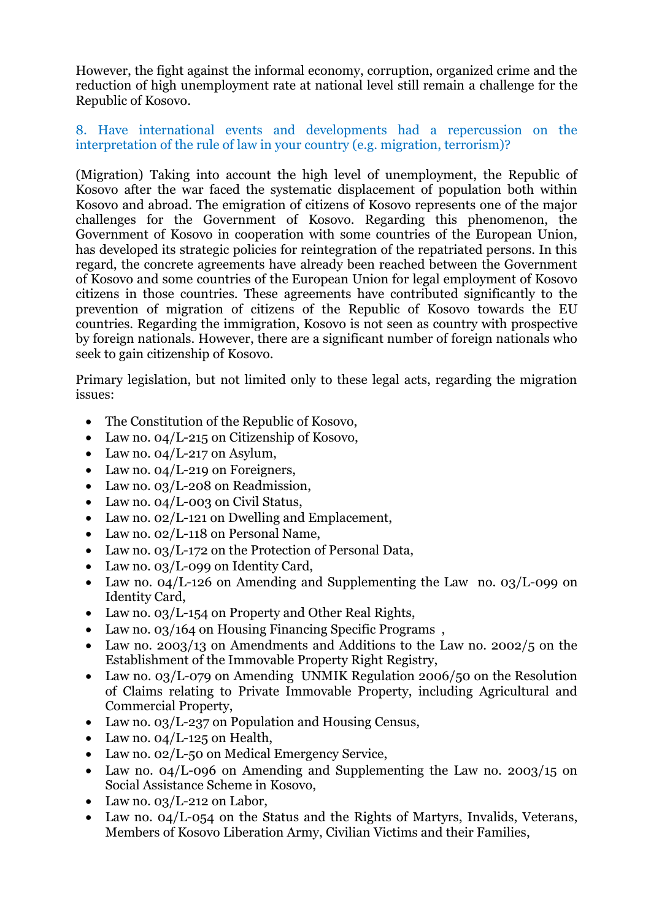However, the fight against the informal economy, corruption, organized crime and the reduction of high unemployment rate at national level still remain a challenge for the Republic of Kosovo.

## 8. Have international events and developments had a repercussion on the interpretation of the rule of law in your country (e.g. migration, terrorism)?

(Migration) Taking into account the high level of unemployment, the Republic of Kosovo after the war faced the systematic displacement of population both within Kosovo and abroad. The emigration of citizens of Kosovo represents one of the major challenges for the Government of Kosovo. Regarding this phenomenon, the Government of Kosovo in cooperation with some countries of the European Union, has developed its strategic policies for reintegration of the repatriated persons. In this regard, the concrete agreements have already been reached between the Government of Kosovo and some countries of the European Union for legal employment of Kosovo citizens in those countries. These agreements have contributed significantly to the prevention of migration of citizens of the Republic of Kosovo towards the EU countries. Regarding the immigration, Kosovo is not seen as country with prospective by foreign nationals. However, there are a significant number of foreign nationals who seek to gain citizenship of Kosovo.

Primary legislation, but not limited only to these legal acts, regarding the migration issues:

- The Constitution of the Republic of Kosovo,
- Law no.  $04/L-215$  on Citizenship of Kosovo,
- Law no.  $04/L$ -217 on Asylum,
- Law no. 04/L-219 on Foreigners,
- Law no. 03/L-208 on Readmission,
- Law no. 04/L-003 on Civil Status,
- Law no. 02/L-121 on Dwelling and Emplacement,
- Law no. 02/L-118 on Personal Name,
- Law no. 03/L-172 on the Protection of Personal Data,
- Law no. 03/L-099 on Identity Card,
- Law no. 04/L-126 on Amending and Supplementing the Law no. 03/L-099 on Identity Card,
- Law no. 03/L-154 on Property and Other Real Rights,
- Law no. 03/164 on Housing Financing Specific Programs,
- Law no. 2003/13 on Amendments and Additions to the Law no. 2002/5 on the Establishment of the Immovable Property Right Registry,
- Law no. 03/L-079 on Amending UNMIK Regulation 2006/50 on the Resolution of Claims relating to Private Immovable Property, including Agricultural and Commercial Property,
- Law no. 03/L-237 on Population and Housing Census,
- Law no. 04/L-125 on Health,
- Law no. 02/L-50 on Medical Emergency Service,
- Law no. 04/L-096 on Amending and Supplementing the Law no. 2003/15 on Social Assistance Scheme in Kosovo,
- Law no. 03/L-212 on Labor,
- Law no. 04/L-054 on the Status and the Rights of Martyrs, Invalids, Veterans, Members of Kosovo Liberation Army, Civilian Victims and their Families,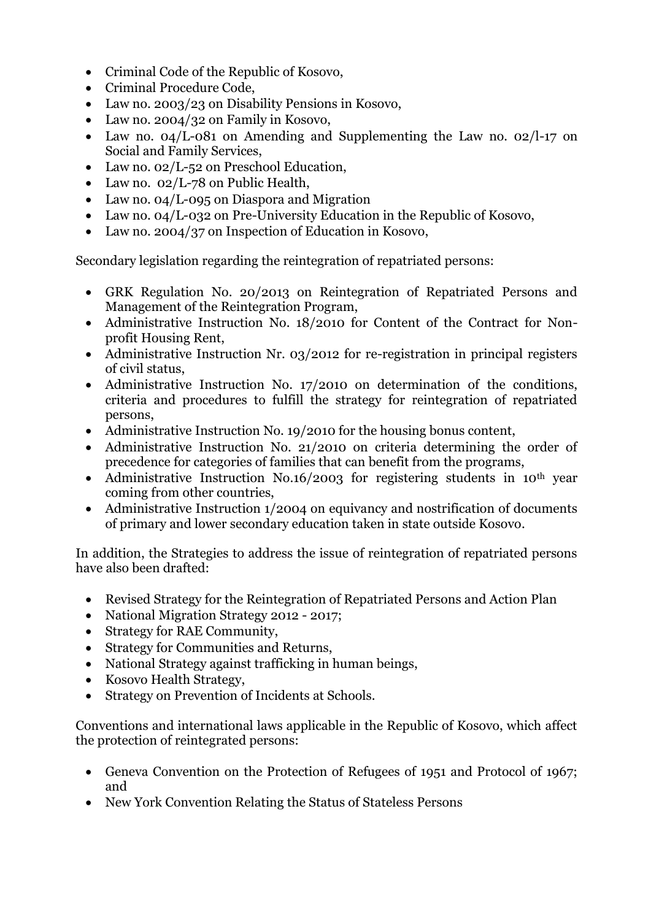- Criminal Code of the Republic of Kosovo,
- Criminal Procedure Code,
- Law no. 2003/23 on Disability Pensions in Kosovo,
- Law no. 2004/32 on Family in Kosovo,
- Law no. 04/L-081 on Amending and Supplementing the Law no. 02/l-17 on Social and Family Services,
- Law no. 02/L-52 on Preschool Education,
- Law no. 02/L-78 on Public Health,
- Law no. 04/L-095 on Diaspora and Migration
- Law no. 04/L-032 on Pre-University Education in the Republic of Kosovo,
- Law no. 2004/37 on Inspection of Education in Kosovo,

Secondary legislation regarding the reintegration of repatriated persons:

- GRK Regulation No. 20/2013 on Reintegration of Repatriated Persons and Management of the Reintegration Program,
- Administrative Instruction No. 18/2010 for Content of the Contract for Nonprofit Housing Rent,
- Administrative Instruction Nr. 03/2012 for re-registration in principal registers of civil status,
- Administrative Instruction No. 17/2010 on determination of the conditions, criteria and procedures to fulfill the strategy for reintegration of repatriated persons,
- Administrative Instruction No. 19/2010 for the housing bonus content,
- Administrative Instruction No. 21/2010 on criteria determining the order of precedence for categories of families that can benefit from the programs,
- Administrative Instruction No.16/2003 for registering students in 10<sup>th</sup> year coming from other countries,
- Administrative Instruction 1/2004 on equivancy and nostrification of documents of primary and lower secondary education taken in state outside Kosovo.

In addition, the Strategies to address the issue of reintegration of repatriated persons have also been drafted:

- Revised Strategy for the Reintegration of Repatriated Persons and Action Plan
- National Migration Strategy 2012 2017;
- Strategy for RAE Community,
- Strategy for Communities and Returns,
- National Strategy against trafficking in human beings,
- Kosovo Health Strategy,
- Strategy on Prevention of Incidents at Schools.

Conventions and international laws applicable in the Republic of Kosovo, which affect the protection of reintegrated persons:

- Geneva Convention on the Protection of Refugees of 1951 and Protocol of 1967; and
- New York Convention Relating the Status of Stateless Persons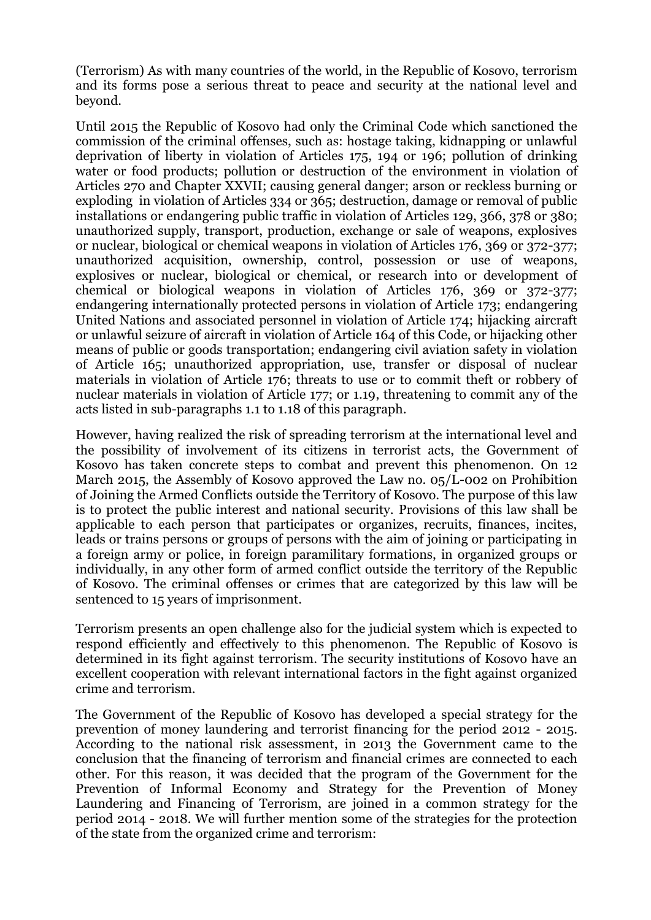(Terrorism) As with many countries of the world, in the Republic of Kosovo, terrorism and its forms pose a serious threat to peace and security at the national level and beyond.

Until 2015 the Republic of Kosovo had only the Criminal Code which sanctioned the commission of the criminal offenses, such as: hostage taking, kidnapping or unlawful deprivation of liberty in violation of Articles 175, 194 or 196; pollution of drinking water or food products; pollution or destruction of the environment in violation of Articles 270 and Chapter XXVII; causing general danger; arson or reckless burning or exploding in violation of Articles 334 or 365; destruction, damage or removal of public installations or endangering public traffic in violation of Articles 129, 366, 378 or 380; unauthorized supply, transport, production, exchange or sale of weapons, explosives or nuclear, biological or chemical weapons in violation of Articles 176, 369 or 372-377; unauthorized acquisition, ownership, control, possession or use of weapons, explosives or nuclear, biological or chemical, or research into or development of chemical or biological weapons in violation of Articles 176, 369 or 372-377; endangering internationally protected persons in violation of Article 173; endangering United Nations and associated personnel in violation of Article 174; hijacking aircraft or unlawful seizure of aircraft in violation of Article 164 of this Code, or hijacking other means of public or goods transportation; endangering civil aviation safety in violation of Article 165; unauthorized appropriation, use, transfer or disposal of nuclear materials in violation of Article 176; threats to use or to commit theft or robbery of nuclear materials in violation of Article 177; or 1.19, threatening to commit any of the acts listed in sub-paragraphs 1.1 to 1.18 of this paragraph.

However, having realized the risk of spreading terrorism at the international level and the possibility of involvement of its citizens in terrorist acts, the Government of Kosovo has taken concrete steps to combat and prevent this phenomenon. On 12 March 2015, the Assembly of Kosovo approved the Law no. 05/L-002 on Prohibition of Joining the Armed Conflicts outside the Territory of Kosovo. The purpose of this law is to protect the public interest and national security. Provisions of this law shall be applicable to each person that participates or organizes, recruits, finances, incites, leads or trains persons or groups of persons with the aim of joining or participating in a foreign army or police, in foreign paramilitary formations, in organized groups or individually, in any other form of armed conflict outside the territory of the Republic of Kosovo. The criminal offenses or crimes that are categorized by this law will be sentenced to 15 years of imprisonment.

Terrorism presents an open challenge also for the judicial system which is expected to respond efficiently and effectively to this phenomenon. The Republic of Kosovo is determined in its fight against terrorism. The security institutions of Kosovo have an excellent cooperation with relevant international factors in the fight against organized crime and terrorism.

The Government of the Republic of Kosovo has developed a special strategy for the prevention of money laundering and terrorist financing for the period 2012 - 2015. According to the national risk assessment, in 2013 the Government came to the conclusion that the financing of terrorism and financial crimes are connected to each other. For this reason, it was decided that the program of the Government for the Prevention of Informal Economy and Strategy for the Prevention of Money Laundering and Financing of Terrorism, are joined in a common strategy for the period 2014 - 2018. We will further mention some of the strategies for the protection of the state from the organized crime and terrorism: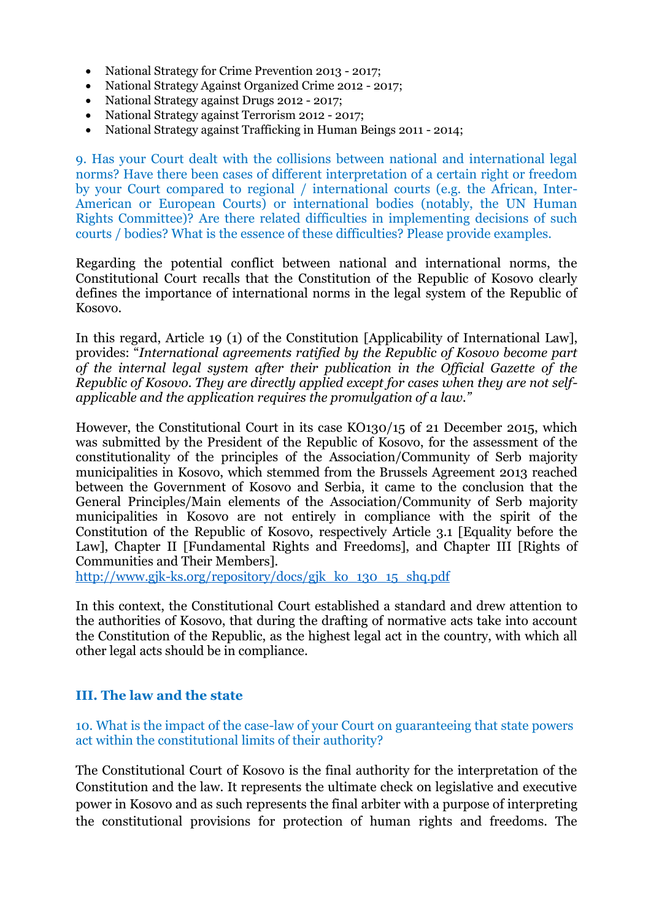- National Strategy for Crime Prevention 2013 2017;
- National Strategy Against Organized Crime 2012 2017;
- National Strategy against Drugs 2012 2017;
- National Strategy against Terrorism 2012 2017;
- National Strategy against Trafficking in Human Beings 2011 2014;

9. Has your Court dealt with the collisions between national and international legal norms? Have there been cases of different interpretation of a certain right or freedom by your Court compared to regional / international courts (e.g. the African, Inter-American or European Courts) or international bodies (notably, the UN Human Rights Committee)? Are there related difficulties in implementing decisions of such courts / bodies? What is the essence of these difficulties? Please provide examples.

Regarding the potential conflict between national and international norms, the Constitutional Court recalls that the Constitution of the Republic of Kosovo clearly defines the importance of international norms in the legal system of the Republic of Kosovo.

In this regard, Article 19 (1) of the Constitution [Applicability of International Law], provides: "*International agreements ratified by the Republic of Kosovo become part of the internal legal system after their publication in the Official Gazette of the Republic of Kosovo. They are directly applied except for cases when they are not selfapplicable and the application requires the promulgation of a law."*

However, the Constitutional Court in its case KO130/15 of 21 December 2015, which was submitted by the President of the Republic of Kosovo, for the assessment of the constitutionality of the principles of the Association/Community of Serb majority municipalities in Kosovo, which stemmed from the Brussels Agreement 2013 reached between the Government of Kosovo and Serbia, it came to the conclusion that the General Principles/Main elements of the Association/Community of Serb majority municipalities in Kosovo are not entirely in compliance with the spirit of the Constitution of the Republic of Kosovo, respectively Article 3.1 [Equality before the Law], Chapter II [Fundamental Rights and Freedoms], and Chapter III [Rights of Communities and Their Members].

[http://www.gjk-ks.org/repository/docs/gjk\\_ko\\_130\\_15\\_shq.pdf](http://www.gjk-ks.org/repository/docs/gjk_ko_130_15_shq.pdf)

In this context, the Constitutional Court established a standard and drew attention to the authorities of Kosovo, that during the drafting of normative acts take into account the Constitution of the Republic, as the highest legal act in the country, with which all other legal acts should be in compliance.

## **III. The law and the state**

10. What is the impact of the case-law of your Court on guaranteeing that state powers act within the constitutional limits of their authority?

The Constitutional Court of Kosovo is the final authority for the interpretation of the Constitution and the law. It represents the ultimate check on legislative and executive power in Kosovo and as such represents the final arbiter with a purpose of interpreting the constitutional provisions for protection of human rights and freedoms. The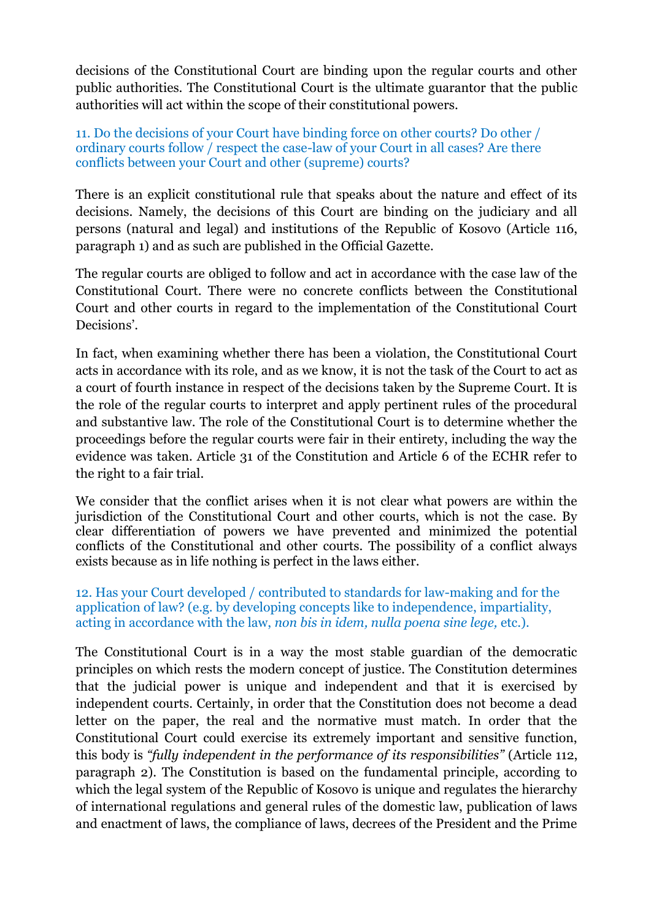decisions of the Constitutional Court are binding upon the regular courts and other public authorities. The Constitutional Court is the ultimate guarantor that the public authorities will act within the scope of their constitutional powers.

## 11. Do the decisions of your Court have binding force on other courts? Do other / ordinary courts follow / respect the case-law of your Court in all cases? Are there conflicts between your Court and other (supreme) courts?

There is an explicit constitutional rule that speaks about the nature and effect of its decisions. Namely, the decisions of this Court are binding on the judiciary and all persons (natural and legal) and institutions of the Republic of Kosovo (Article 116, paragraph 1) and as such are published in the Official Gazette.

The regular courts are obliged to follow and act in accordance with the case law of the Constitutional Court. There were no concrete conflicts between the Constitutional Court and other courts in regard to the implementation of the Constitutional Court Decisions'.

In fact, when examining whether there has been a violation, the Constitutional Court acts in accordance with its role, and as we know, it is not the task of the Court to act as a court of fourth instance in respect of the decisions taken by the Supreme Court. It is the role of the regular courts to interpret and apply pertinent rules of the procedural and substantive law. The role of the Constitutional Court is to determine whether the proceedings before the regular courts were fair in their entirety, including the way the evidence was taken. Article 31 of the Constitution and Article 6 of the ECHR refer to the right to a fair trial.

We consider that the conflict arises when it is not clear what powers are within the jurisdiction of the Constitutional Court and other courts, which is not the case. By clear differentiation of powers we have prevented and minimized the potential conflicts of the Constitutional and other courts. The possibility of a conflict always exists because as in life nothing is perfect in the laws either.

## 12. Has your Court developed / contributed to standards for law-making and for the application of law? (e.g. by developing concepts like to independence, impartiality, acting in accordance with the law, *non bis in idem, nulla poena sine lege,* etc.).

The Constitutional Court is in a way the most stable guardian of the democratic principles on which rests the modern concept of justice. The Constitution determines that the judicial power is unique and independent and that it is exercised by independent courts. Certainly, in order that the Constitution does not become a dead letter on the paper, the real and the normative must match. In order that the Constitutional Court could exercise its extremely important and sensitive function, this body is *"fully independent in the performance of its responsibilities"* (Article 112, paragraph 2). The Constitution is based on the fundamental principle, according to which the legal system of the Republic of Kosovo is unique and regulates the hierarchy of international regulations and general rules of the domestic law, publication of laws and enactment of laws, the compliance of laws, decrees of the President and the Prime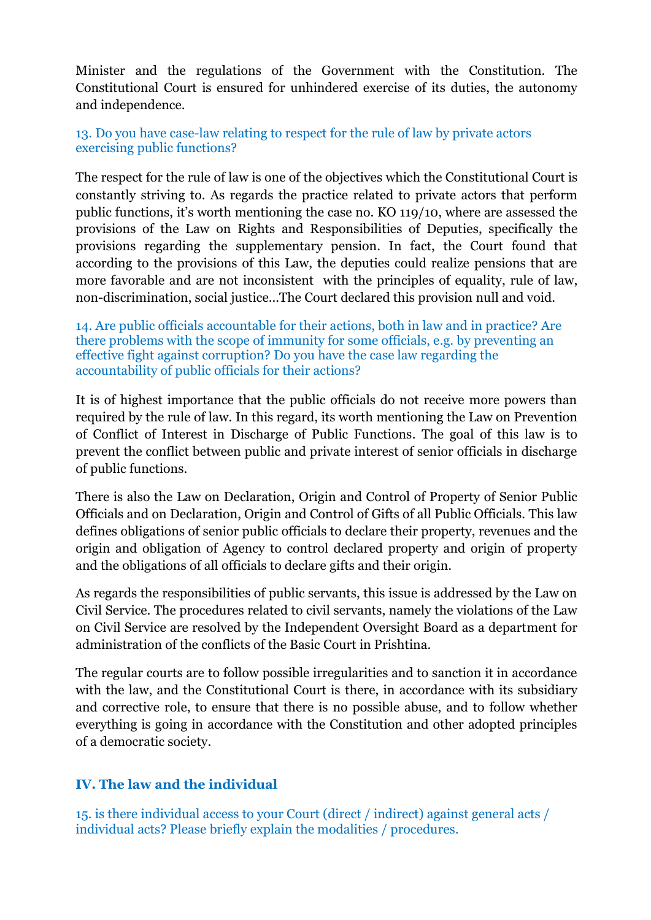Minister and the regulations of the Government with the Constitution. The Constitutional Court is ensured for unhindered exercise of its duties, the autonomy and independence.

13. Do you have case-law relating to respect for the rule of law by private actors exercising public functions?

The respect for the rule of law is one of the objectives which the Constitutional Court is constantly striving to. As regards the practice related to private actors that perform public functions, it's worth mentioning the case no. KO 119/10, where are assessed the provisions of the Law on Rights and Responsibilities of Deputies, specifically the provisions regarding the supplementary pension. In fact, the Court found that according to the provisions of this Law, the deputies could realize pensions that are more favorable and are not inconsistent with the principles of equality, rule of law, non-discrimination, social justice...The Court declared this provision null and void.

14. Are public officials accountable for their actions, both in law and in practice? Are there problems with the scope of immunity for some officials, e.g. by preventing an effective fight against corruption? Do you have the case law regarding the accountability of public officials for their actions?

It is of highest importance that the public officials do not receive more powers than required by the rule of law. In this regard, its worth mentioning the Law on Prevention of Conflict of Interest in Discharge of Public Functions. The goal of this law is to prevent the conflict between public and private interest of senior officials in discharge of public functions.

There is also the Law on Declaration, Origin and Control of Property of Senior Public Officials and on Declaration, Origin and Control of Gifts of all Public Officials. This law defines obligations of senior public officials to declare their property, revenues and the origin and obligation of Agency to control declared property and origin of property and the obligations of all officials to declare gifts and their origin.

As regards the responsibilities of public servants, this issue is addressed by the Law on Civil Service. The procedures related to civil servants, namely the violations of the Law on Civil Service are resolved by the Independent Oversight Board as a department for administration of the conflicts of the Basic Court in Prishtina.

The regular courts are to follow possible irregularities and to sanction it in accordance with the law, and the Constitutional Court is there, in accordance with its subsidiary and corrective role, to ensure that there is no possible abuse, and to follow whether everything is going in accordance with the Constitution and other adopted principles of a democratic society.

# **IV. The law and the individual**

15. is there individual access to your Court (direct / indirect) against general acts / individual acts? Please briefly explain the modalities / procedures.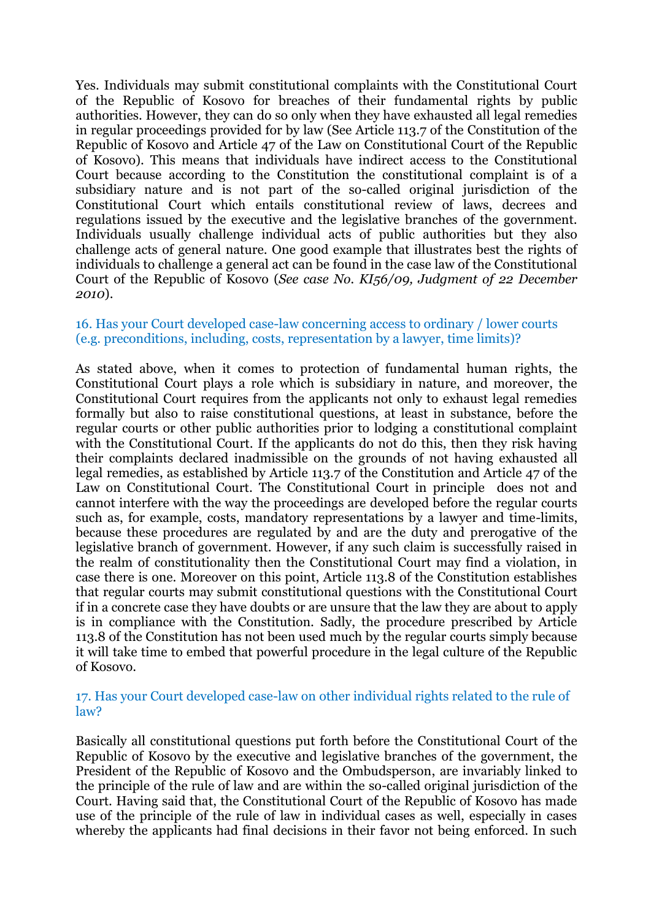Yes. Individuals may submit constitutional complaints with the Constitutional Court of the Republic of Kosovo for breaches of their fundamental rights by public authorities. However, they can do so only when they have exhausted all legal remedies in regular proceedings provided for by law (See Article 113.7 of the Constitution of the Republic of Kosovo and Article 47 of the Law on Constitutional Court of the Republic of Kosovo). This means that individuals have indirect access to the Constitutional Court because according to the Constitution the constitutional complaint is of a subsidiary nature and is not part of the so-called original jurisdiction of the Constitutional Court which entails constitutional review of laws, decrees and regulations issued by the executive and the legislative branches of the government. Individuals usually challenge individual acts of public authorities but they also challenge acts of general nature. One good example that illustrates best the rights of individuals to challenge a general act can be found in the case law of the Constitutional Court of the Republic of Kosovo (*See case No. KI56/09, Judgment of 22 December 2010*).

## 16. Has your Court developed case-law concerning access to ordinary / lower courts (e.g. preconditions, including, costs, representation by a lawyer, time limits)?

As stated above, when it comes to protection of fundamental human rights, the Constitutional Court plays a role which is subsidiary in nature, and moreover, the Constitutional Court requires from the applicants not only to exhaust legal remedies formally but also to raise constitutional questions, at least in substance, before the regular courts or other public authorities prior to lodging a constitutional complaint with the Constitutional Court. If the applicants do not do this, then they risk having their complaints declared inadmissible on the grounds of not having exhausted all legal remedies, as established by Article 113.7 of the Constitution and Article 47 of the Law on Constitutional Court. The Constitutional Court in principle does not and cannot interfere with the way the proceedings are developed before the regular courts such as, for example, costs, mandatory representations by a lawyer and time-limits, because these procedures are regulated by and are the duty and prerogative of the legislative branch of government. However, if any such claim is successfully raised in the realm of constitutionality then the Constitutional Court may find a violation, in case there is one. Moreover on this point, Article 113.8 of the Constitution establishes that regular courts may submit constitutional questions with the Constitutional Court if in a concrete case they have doubts or are unsure that the law they are about to apply is in compliance with the Constitution. Sadly, the procedure prescribed by Article 113.8 of the Constitution has not been used much by the regular courts simply because it will take time to embed that powerful procedure in the legal culture of the Republic of Kosovo.

#### 17. Has your Court developed case-law on other individual rights related to the rule of law?

Basically all constitutional questions put forth before the Constitutional Court of the Republic of Kosovo by the executive and legislative branches of the government, the President of the Republic of Kosovo and the Ombudsperson, are invariably linked to the principle of the rule of law and are within the so-called original jurisdiction of the Court. Having said that, the Constitutional Court of the Republic of Kosovo has made use of the principle of the rule of law in individual cases as well, especially in cases whereby the applicants had final decisions in their favor not being enforced. In such